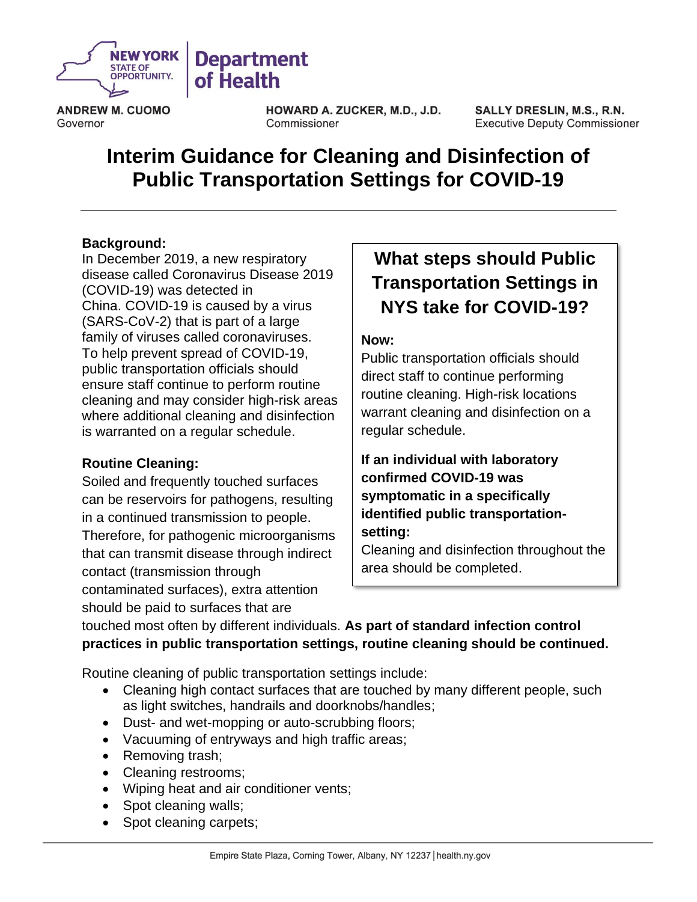

**ANDREW M. CUOMO** Governor

HOWARD A. ZUCKER, M.D., J.D. Commissioner

**SALLY DRESLIN, M.S., R.N. Executive Deputy Commissioner** 

# **Interim Guidance for Cleaning and Disinfection of Public Transportation Settings for COVID-19**

#### **Background:**

In December 2019, a new respiratory disease called Coronavirus Disease 2019 (COVID-19) was detected in China. COVID-19 is caused by a virus (SARS-CoV-2) that is part of a large family of viruses called coronaviruses. To help prevent spread of COVID-19, public transportation officials should ensure staff continue to perform routine cleaning and may consider high-risk areas where additional cleaning and disinfection is warranted on a regular schedule.

#### **Routine Cleaning:**

Soiled and frequently touched surfaces can be reservoirs for pathogens, resulting in a continued transmission to people. Therefore, for pathogenic microorganisms that can transmit disease through indirect contact (transmission through contaminated surfaces), extra attention should be paid to surfaces that are

## **What steps should Public Transportation Settings in NYS take for COVID-19?**

#### **Now:**

Public transportation officials should direct staff to continue performing routine cleaning. High-risk locations warrant cleaning and disinfection on a regular schedule.

### **If an individual with laboratory confirmed COVID-19 was symptomatic in a specifically identified public transportationsetting:**

Cleaning and disinfection throughout the area should be completed.

touched most often by different individuals. **As part of standard infection control practices in public transportation settings, routine cleaning should be continued.**

Routine cleaning of public transportation settings include:

- Cleaning high contact surfaces that are touched by many different people, such as light switches, handrails and doorknobs/handles;
- Dust- and wet-mopping or auto-scrubbing floors;
- Vacuuming of entryways and high traffic areas;
- Removing trash;
- Cleaning restrooms:
- Wiping heat and air conditioner vents;
- Spot cleaning walls;
- Spot cleaning carpets;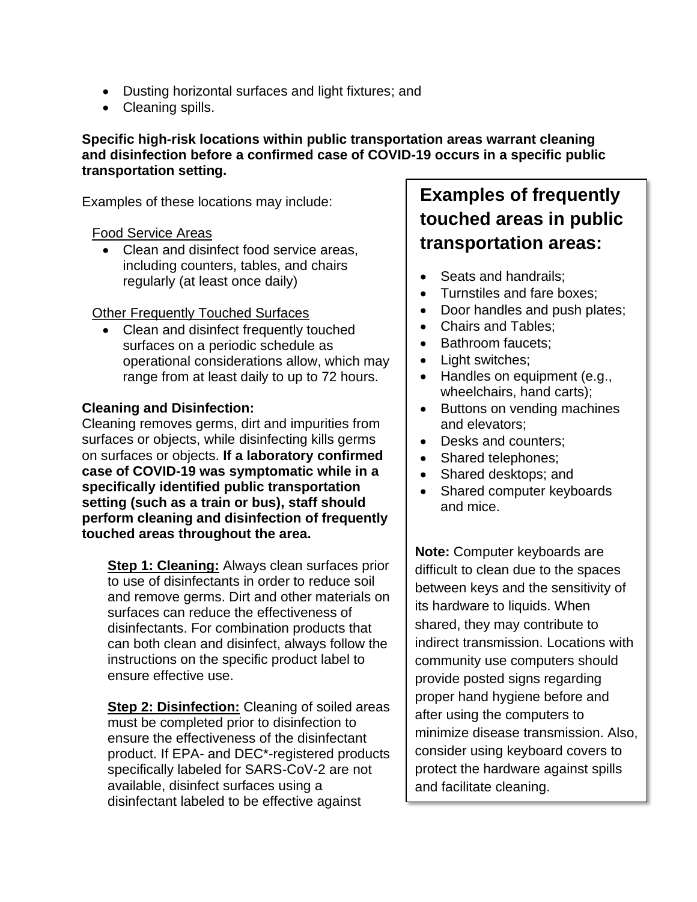- Dusting horizontal surfaces and light fixtures; and
- Cleaning spills.

#### **Specific high-risk locations within public transportation areas warrant cleaning and disinfection before a confirmed case of COVID-19 occurs in a specific public transportation setting.**

Examples of these locations may include:

#### Food Service Areas

• Clean and disinfect food service areas, including counters, tables, and chairs regularly (at least once daily)

#### **Other Frequently Touched Surfaces**

• Clean and disinfect frequently touched surfaces on a periodic schedule as operational considerations allow, which may range from at least daily to up to 72 hours.

#### **Cleaning and Disinfection:**

Cleaning removes germs, dirt and impurities from surfaces or objects, while disinfecting kills germs on surfaces or objects. **If a laboratory confirmed case of COVID-19 was symptomatic while in a specifically identified public transportation setting (such as a train or bus), staff should perform cleaning and disinfection of frequently touched areas throughout the area.**

**Step 1: Cleaning:** Always clean surfaces prior to use of disinfectants in order to reduce soil and remove germs. Dirt and other materials on surfaces can reduce the effectiveness of disinfectants. For combination products that can both clean and disinfect, always follow the instructions on the specific product label to ensure effective use.

**Step 2: Disinfection:** Cleaning of soiled areas must be completed prior to disinfection to ensure the effectiveness of the disinfectant product. If EPA- and DEC\*-registered products specifically labeled for SARS-CoV-2 are not available, disinfect surfaces using a disinfectant labeled to be effective against

## **Examples of frequently touched areas in public transportation areas:**

- Seats and handrails:
- Turnstiles and fare boxes;
- Door handles and push plates;
- Chairs and Tables;
- Bathroom faucets:
- Light switches;
- Handles on equipment (e.g., wheelchairs, hand carts);
- Buttons on vending machines and elevators;
- Desks and counters:
- Shared telephones;
- Shared desktops; and
- Shared computer keyboards and mice.

**Note:** Computer keyboards are difficult to clean due to the spaces between keys and the sensitivity of its hardware to liquids. When shared, they may contribute to indirect transmission. Locations with community use computers should provide posted signs regarding proper hand hygiene before and after using the computers to minimize disease transmission. Also, consider using keyboard covers to protect the hardware against spills and facilitate cleaning.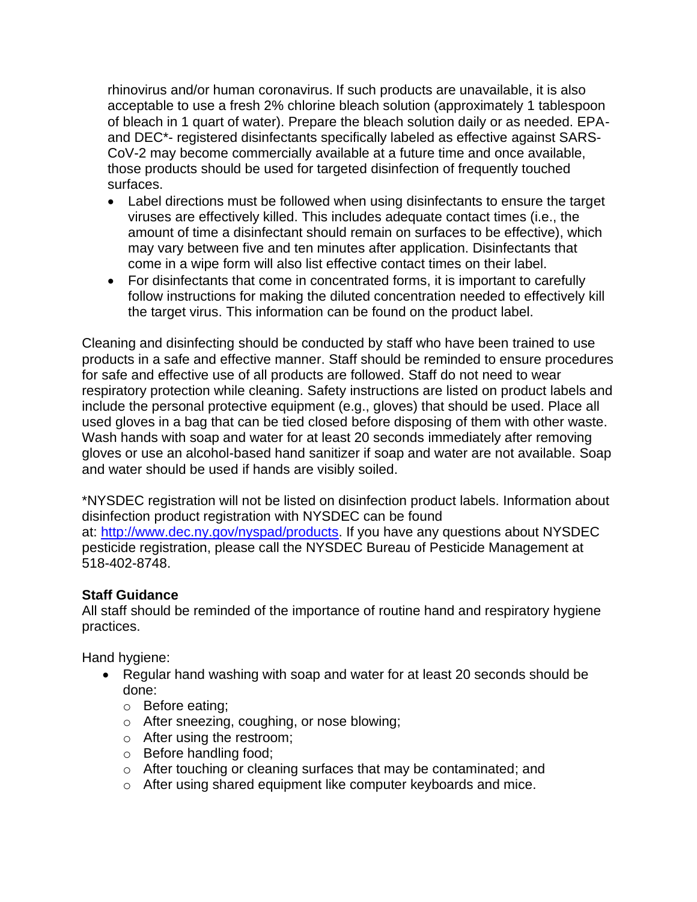rhinovirus and/or human coronavirus. If such products are unavailable, it is also acceptable to use a fresh 2% chlorine bleach solution (approximately 1 tablespoon of bleach in 1 quart of water). Prepare the bleach solution daily or as needed. EPAand DEC\*- registered disinfectants specifically labeled as effective against SARS-CoV-2 may become commercially available at a future time and once available, those products should be used for targeted disinfection of frequently touched surfaces.

- Label directions must be followed when using disinfectants to ensure the target viruses are effectively killed. This includes adequate contact times (i.e., the amount of time a disinfectant should remain on surfaces to be effective), which may vary between five and ten minutes after application. Disinfectants that come in a wipe form will also list effective contact times on their label.
- For disinfectants that come in concentrated forms, it is important to carefully follow instructions for making the diluted concentration needed to effectively kill the target virus. This information can be found on the product label.

Cleaning and disinfecting should be conducted by staff who have been trained to use products in a safe and effective manner. Staff should be reminded to ensure procedures for safe and effective use of all products are followed. Staff do not need to wear respiratory protection while cleaning. Safety instructions are listed on product labels and include the personal protective equipment (e.g., gloves) that should be used. Place all used gloves in a bag that can be tied closed before disposing of them with other waste. Wash hands with soap and water for at least 20 seconds immediately after removing gloves or use an alcohol-based hand sanitizer if soap and water are not available. Soap and water should be used if hands are visibly soiled.

\*NYSDEC registration will not be listed on disinfection product labels. Information about disinfection product registration with NYSDEC can be found at: [http://www.dec.ny.gov/nyspad/products.](http://www.dec.ny.gov/nyspad/products) If you have any questions about NYSDEC pesticide registration, please call the NYSDEC Bureau of Pesticide Management at 518-402-8748.

#### **Staff Guidance**

All staff should be reminded of the importance of routine hand and respiratory hygiene practices.

Hand hygiene:

- Regular hand washing with soap and water for at least 20 seconds should be done:
	- o Before eating;
	- o After sneezing, coughing, or nose blowing;
	- o After using the restroom;
	- o Before handling food;
	- o After touching or cleaning surfaces that may be contaminated; and
	- o After using shared equipment like computer keyboards and mice.